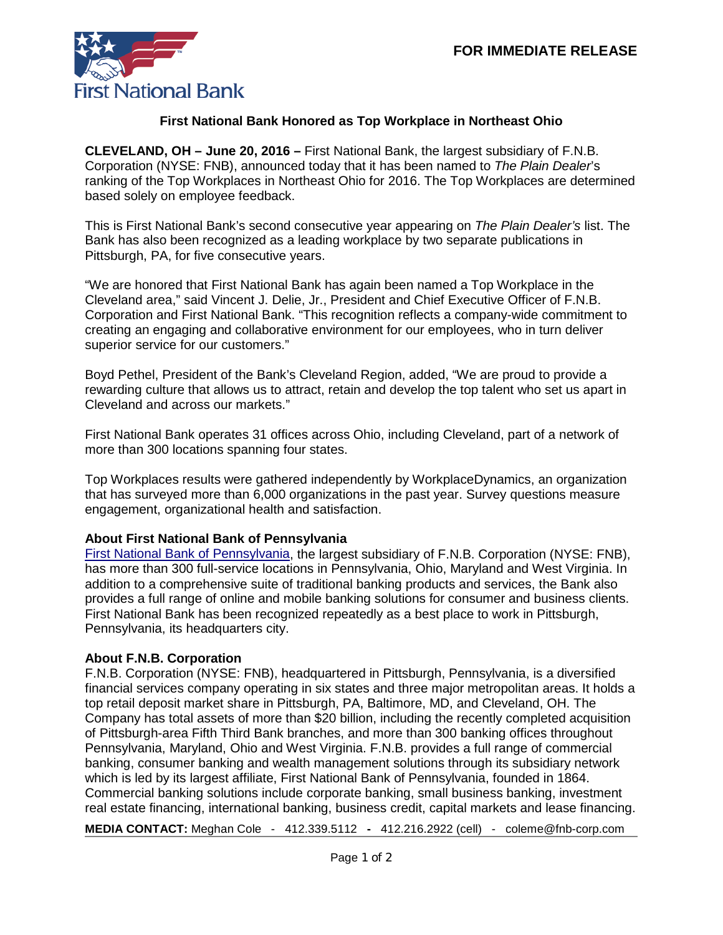

## **First National Bank Honored as Top Workplace in Northeast Ohio**

**CLEVELAND, OH – June 20, 2016 –** First National Bank, the largest subsidiary of F.N.B. Corporation (NYSE: FNB), announced today that it has been named to *The Plain Dealer*'s ranking of the Top Workplaces in Northeast Ohio for 2016. The Top Workplaces are determined based solely on employee feedback.

This is First National Bank's second consecutive year appearing on *The Plain Dealer's* list. The Bank has also been recognized as a leading workplace by two separate publications in Pittsburgh, PA, for five consecutive years.

"We are honored that First National Bank has again been named a Top Workplace in the Cleveland area," said Vincent J. Delie, Jr., President and Chief Executive Officer of F.N.B. Corporation and First National Bank. "This recognition reflects a company-wide commitment to creating an engaging and collaborative environment for our employees, who in turn deliver superior service for our customers."

Boyd Pethel, President of the Bank's Cleveland Region, added, "We are proud to provide a rewarding culture that allows us to attract, retain and develop the top talent who set us apart in Cleveland and across our markets."

First National Bank operates 31 offices across Ohio, including Cleveland, part of a network of more than 300 locations spanning four states.

Top Workplaces results were gathered independently by WorkplaceDynamics, an organization that has surveyed more than 6,000 organizations in the past year. Survey questions measure engagement, organizational health and satisfaction.

## **About First National Bank of Pennsylvania**

[First National Bank of Pennsylvania,](https://www.fnb-online.com/) the largest subsidiary of F.N.B. Corporation (NYSE: FNB), has more than 300 full-service locations in Pennsylvania, Ohio, Maryland and West Virginia. In addition to a comprehensive suite of traditional banking products and services, the Bank also provides a full range of online and mobile banking solutions for consumer and business clients. First National Bank has been recognized repeatedly as a best place to work in Pittsburgh, Pennsylvania, its headquarters city.

## **About F.N.B. Corporation**

F.N.B. Corporation (NYSE: FNB), headquartered in Pittsburgh, Pennsylvania, is a diversified financial services company operating in six states and three major metropolitan areas. It holds a top retail deposit market share in Pittsburgh, PA, Baltimore, MD, and Cleveland, OH. The Company has total assets of more than \$20 billion, including the recently completed acquisition of Pittsburgh-area Fifth Third Bank branches, and more than 300 banking offices throughout Pennsylvania, Maryland, Ohio and West Virginia. F.N.B. provides a full range of commercial banking, consumer banking and wealth management solutions through its subsidiary network which is led by its largest affiliate, First National Bank of Pennsylvania, founded in 1864. Commercial banking solutions include corporate banking, small business banking, investment real estate financing, international banking, business credit, capital markets and lease financing.

**MEDIA CONTACT:** Meghan Cole - [412.339.5112](mailto:412.339.5112) **-** 412.216.2922 (cell) - coleme@fnb-corp.com